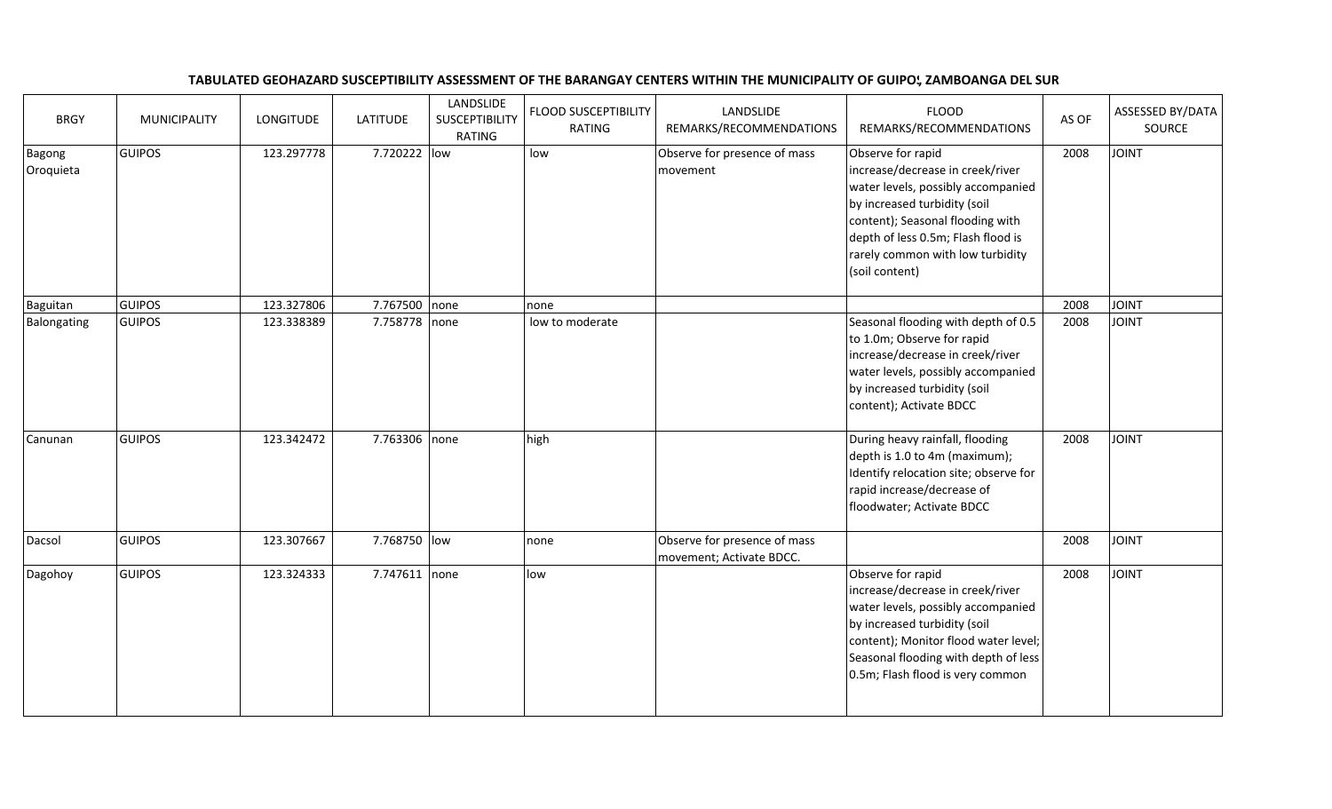## TABULATED GEOHAZARD SUSCEPTIBILITY ASSESSMENT OF THE BARANGAY CENTERS WITHIN THE MUNICIPALITY OF GUIPO', ZAMBOANGA DEL SUR

| <b>BRGY</b>         | <b>MUNICIPALITY</b> | <b>LONGITUDE</b> | <b>LATITUDE</b> | LANDSLIDE<br><b>SUSCEPTIBILITY</b><br><b>RATING</b> | <b>FLOOD SUSCEPTIBILITY</b><br><b>RATING</b> | LANDSLIDE<br>REMARKS/RECOMMENDATIONS                     | <b>FLOOD</b><br>REMARKS/RECOMMENDATIONS                                                                                                                                                                                                                     | AS OF | ASSESSED BY/DATA<br>SOURCE |
|---------------------|---------------------|------------------|-----------------|-----------------------------------------------------|----------------------------------------------|----------------------------------------------------------|-------------------------------------------------------------------------------------------------------------------------------------------------------------------------------------------------------------------------------------------------------------|-------|----------------------------|
| Bagong<br>Oroquieta | <b>GUIPOS</b>       | 123.297778       | 7.720222 low    |                                                     | low                                          | Observe for presence of mass<br>movement                 | Observe for rapid<br>increase/decrease in creek/river<br>water levels, possibly accompanied<br>by increased turbidity (soil<br>content); Seasonal flooding with<br>depth of less 0.5m; Flash flood is<br>rarely common with low turbidity<br>(soil content) | 2008  | <b>TINIOL</b>              |
| Baguitan            | <b>GUIPOS</b>       | 123.327806       | 7.767500 none   |                                                     | none                                         |                                                          |                                                                                                                                                                                                                                                             | 2008  | <b>TAIOL</b>               |
| Balongating         | <b>GUIPOS</b>       | 123.338389       | 7.758778 none   |                                                     | low to moderate                              |                                                          | Seasonal flooding with depth of 0.5<br>to 1.0m; Observe for rapid<br>increase/decrease in creek/river<br>water levels, possibly accompanied<br>by increased turbidity (soil<br>content); Activate BDCC                                                      | 2008  | <b>TVIOL</b>               |
| Canunan             | <b>GUIPOS</b>       | 123.342472       | 7.763306 none   |                                                     | high                                         |                                                          | During heavy rainfall, flooding<br>depth is 1.0 to 4m (maximum);<br>Identify relocation site; observe for<br>rapid increase/decrease of<br>floodwater; Activate BDCC                                                                                        | 2008  | <b>JOINT</b>               |
| Dacsol              | <b>GUIPOS</b>       | 123.307667       | 7.768750 low    |                                                     | none                                         | Observe for presence of mass<br>movement; Activate BDCC. |                                                                                                                                                                                                                                                             | 2008  | <b>TVIOL</b>               |
| Dagohoy             | <b>GUIPOS</b>       | 123.324333       | 7.747611 none   |                                                     | low                                          |                                                          | Observe for rapid<br>increase/decrease in creek/river<br>water levels, possibly accompanied<br>by increased turbidity (soil<br>content); Monitor flood water level;<br>Seasonal flooding with depth of less<br>0.5m; Flash flood is very common             | 2008  | <b>TVIOL</b>               |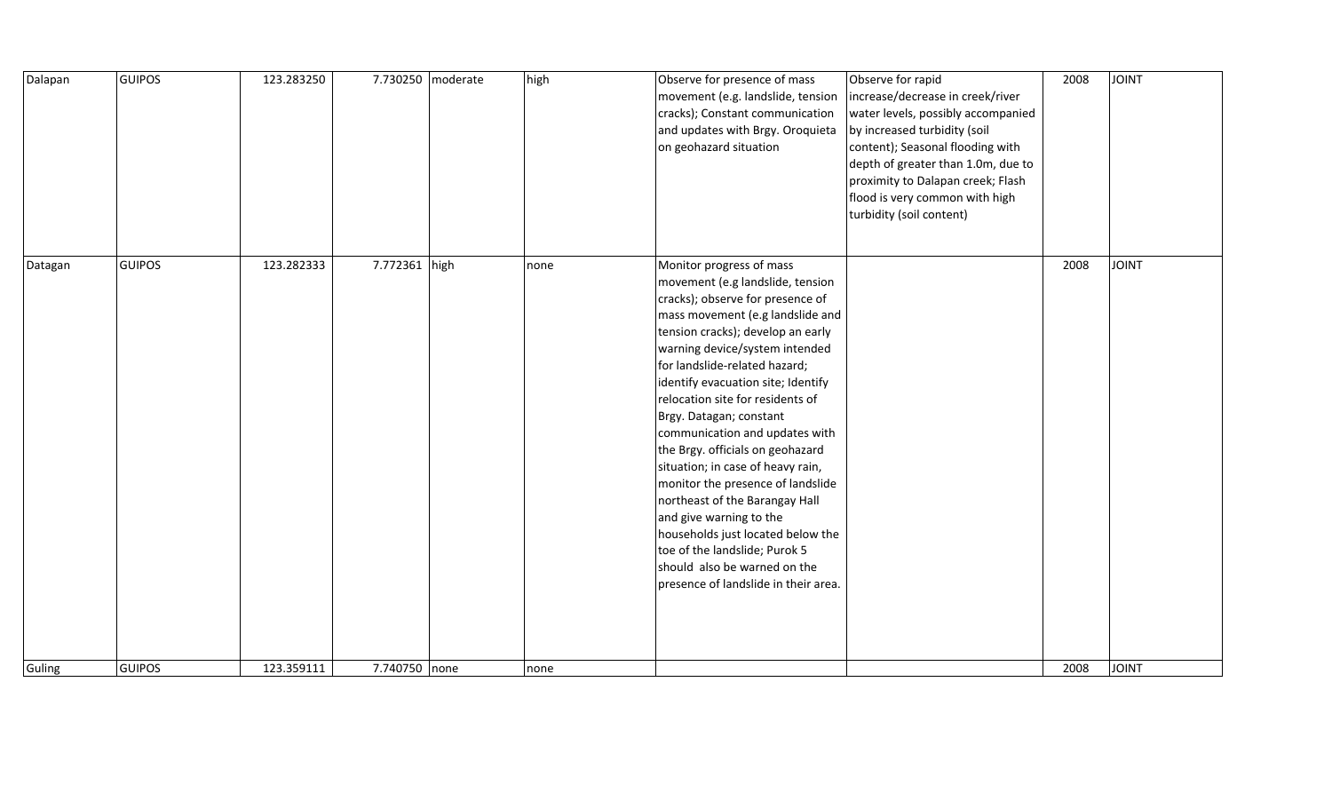| Dalapan | <b>GUIPOS</b> | 123.283250 |               | 7.730250 moderate | high | Observe for presence of mass<br>movement (e.g. landslide, tension<br>cracks); Constant communication<br>and updates with Brgy. Oroquieta<br>on geohazard situation                                                                                                                                                                                                                                                                                                                                                                                                                                                                                                                                           | Observe for rapid<br>increase/decrease in creek/river<br>water levels, possibly accompanied<br>by increased turbidity (soil<br>content); Seasonal flooding with<br>depth of greater than 1.0m, due to<br>proximity to Dalapan creek; Flash<br>flood is very common with high<br>turbidity (soil content) | 2008 | <b>JOINT</b> |
|---------|---------------|------------|---------------|-------------------|------|--------------------------------------------------------------------------------------------------------------------------------------------------------------------------------------------------------------------------------------------------------------------------------------------------------------------------------------------------------------------------------------------------------------------------------------------------------------------------------------------------------------------------------------------------------------------------------------------------------------------------------------------------------------------------------------------------------------|----------------------------------------------------------------------------------------------------------------------------------------------------------------------------------------------------------------------------------------------------------------------------------------------------------|------|--------------|
| Datagan | <b>GUIPOS</b> | 123.282333 | 7.772361 high |                   | none | Monitor progress of mass<br>movement (e.g landslide, tension<br>cracks); observe for presence of<br>mass movement (e.g landslide and<br>tension cracks); develop an early<br>warning device/system intended<br>for landslide-related hazard;<br>identify evacuation site; Identify<br>relocation site for residents of<br>Brgy. Datagan; constant<br>communication and updates with<br>the Brgy. officials on geohazard<br>situation; in case of heavy rain,<br>monitor the presence of landslide<br>northeast of the Barangay Hall<br>and give warning to the<br>households just located below the<br>toe of the landslide; Purok 5<br>should also be warned on the<br>presence of landslide in their area. |                                                                                                                                                                                                                                                                                                          | 2008 | <b>TAIOL</b> |
| Guling  | <b>GUIPOS</b> | 123.359111 | 7.740750 none |                   | none |                                                                                                                                                                                                                                                                                                                                                                                                                                                                                                                                                                                                                                                                                                              |                                                                                                                                                                                                                                                                                                          | 2008 | <b>JOINT</b> |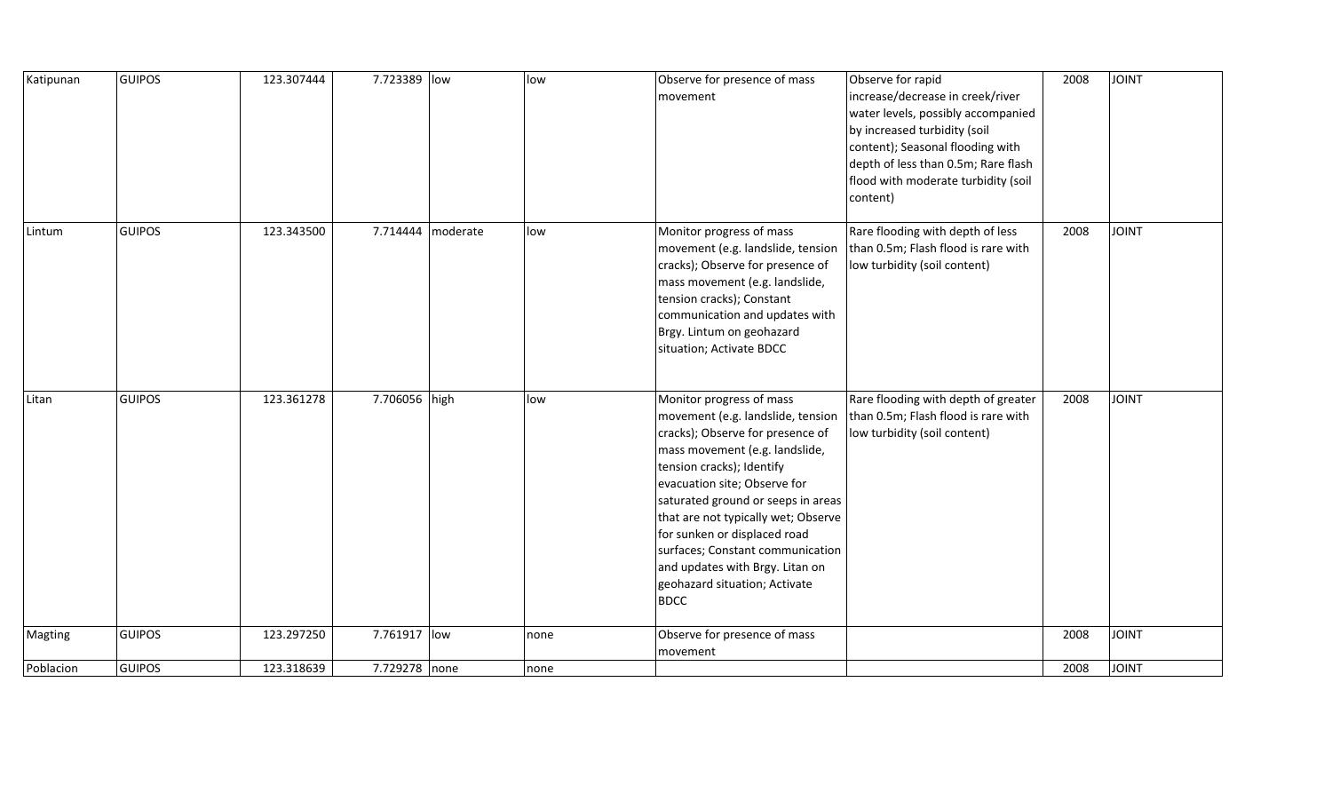| Katipunan | <b>GUIPOS</b> | 123.307444 | 7.723389 low  |                   | low  | Observe for presence of mass<br>movement                                                                                                                                                                                                                                                                                                                                                                                             | Observe for rapid<br>increase/decrease in creek/river<br>water levels, possibly accompanied<br>by increased turbidity (soil<br>content); Seasonal flooding with<br>depth of less than 0.5m; Rare flash<br>flood with moderate turbidity (soil<br>content) | 2008 | <b>JOINT</b> |
|-----------|---------------|------------|---------------|-------------------|------|--------------------------------------------------------------------------------------------------------------------------------------------------------------------------------------------------------------------------------------------------------------------------------------------------------------------------------------------------------------------------------------------------------------------------------------|-----------------------------------------------------------------------------------------------------------------------------------------------------------------------------------------------------------------------------------------------------------|------|--------------|
| Lintum    | <b>GUIPOS</b> | 123.343500 |               | 7.714444 moderate | low  | Monitor progress of mass<br>movement (e.g. landslide, tension<br>cracks); Observe for presence of<br>mass movement (e.g. landslide,<br>tension cracks); Constant<br>communication and updates with<br>Brgy. Lintum on geohazard<br>situation; Activate BDCC                                                                                                                                                                          | Rare flooding with depth of less<br>than 0.5m; Flash flood is rare with<br>low turbidity (soil content)                                                                                                                                                   | 2008 | <b>JOINT</b> |
| Litan     | <b>GUIPOS</b> | 123.361278 | 7.706056 high |                   | low  | Monitor progress of mass<br>movement (e.g. landslide, tension<br>cracks); Observe for presence of<br>mass movement (e.g. landslide,<br>tension cracks); Identify<br>evacuation site; Observe for<br>saturated ground or seeps in areas<br>that are not typically wet; Observe<br>for sunken or displaced road<br>surfaces; Constant communication<br>and updates with Brgy. Litan on<br>geohazard situation; Activate<br><b>BDCC</b> | Rare flooding with depth of greater<br>than 0.5m; Flash flood is rare with<br>low turbidity (soil content)                                                                                                                                                | 2008 | <b>JOINT</b> |
| Magting   | <b>GUIPOS</b> | 123.297250 | 7.761917 low  |                   | none | Observe for presence of mass<br>movement                                                                                                                                                                                                                                                                                                                                                                                             |                                                                                                                                                                                                                                                           | 2008 | <b>JOINT</b> |
| Poblacion | <b>GUIPOS</b> | 123.318639 | 7.729278 none |                   | none |                                                                                                                                                                                                                                                                                                                                                                                                                                      |                                                                                                                                                                                                                                                           | 2008 | <b>JOINT</b> |